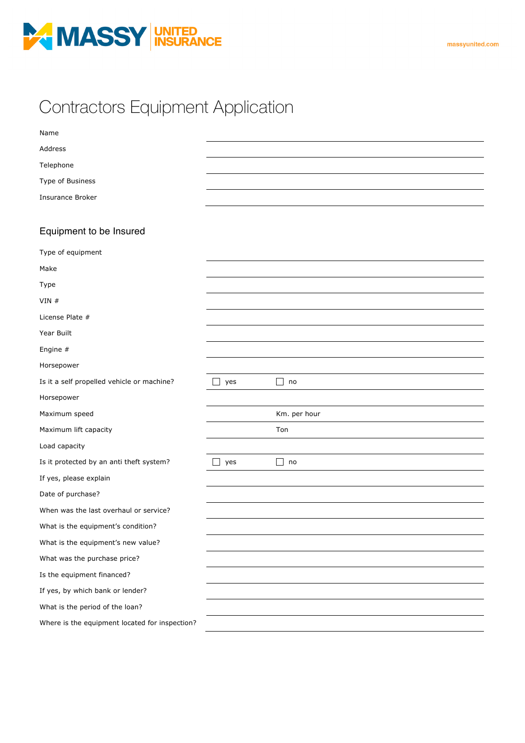

## Contractors Equipment Application

| Name                                           |                              |              |
|------------------------------------------------|------------------------------|--------------|
| Address                                        |                              |              |
| Telephone                                      |                              |              |
| Type of Business                               |                              |              |
| <b>Insurance Broker</b>                        |                              |              |
|                                                |                              |              |
| Equipment to be Insured                        |                              |              |
| Type of equipment                              |                              |              |
| Make                                           |                              |              |
| Type                                           |                              |              |
| $VIN$ #                                        |                              |              |
| License Plate #                                |                              |              |
| Year Built                                     |                              |              |
| Engine #                                       |                              |              |
| Horsepower                                     |                              |              |
| Is it a self propelled vehicle or machine?     | yes                          | ΙI<br>no     |
| Horsepower                                     |                              |              |
| Maximum speed                                  |                              | Km. per hour |
| Maximum lift capacity                          |                              | Ton          |
| Load capacity                                  |                              |              |
| Is it protected by an anti theft system?       | $\overline{\phantom{a}}$ yes | ΙI<br>no     |
| If yes, please explain                         |                              |              |
| Date of purchase?                              |                              |              |
| When was the last overhaul or service?         |                              |              |
| What is the equipment's condition?             |                              |              |
| What is the equipment's new value?             |                              |              |
| What was the purchase price?                   |                              |              |
| Is the equipment financed?                     |                              |              |
| If yes, by which bank or lender?               |                              |              |
| What is the period of the loan?                |                              |              |
| Where is the equipment located for inspection? |                              |              |